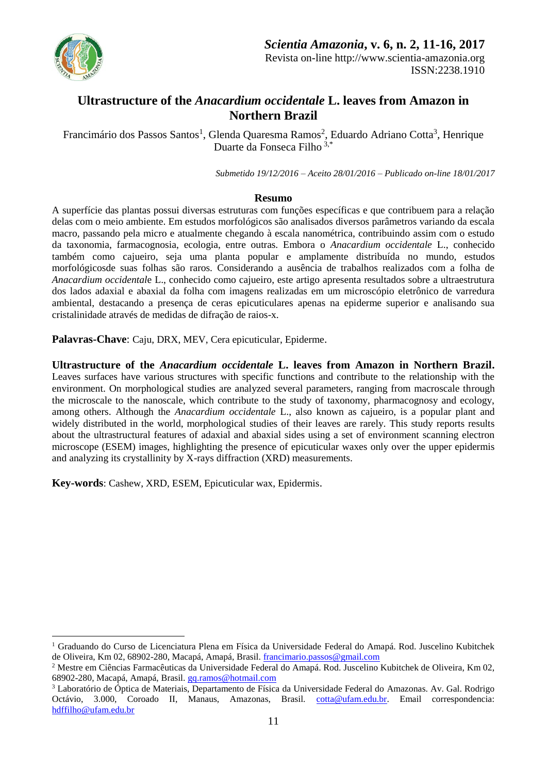

1

# **Ultrastructure of the** *Anacardium occidentale* **L. leaves from Amazon in Northern Brazil**

Francimário dos Passos Santos<sup>1</sup>, Glenda Quaresma Ramos<sup>2</sup>, Eduardo Adriano Cotta<sup>3</sup>, Henrique Duarte da Fonseca Filho 3,\*

*Submetido 19/12/2016 – Aceito 28/01/2016 – Publicado on-line 18/01/2017*

### **Resumo**

A superfície das plantas possui diversas estruturas com funções específicas e que contribuem para a relação delas com o meio ambiente. Em estudos morfológicos são analisados diversos parâmetros variando da escala macro, passando pela micro e atualmente chegando à escala nanométrica, contribuindo assim com o estudo da taxonomia, farmacognosia, ecologia, entre outras. Embora o *Anacardium occidentale* L., conhecido também como cajueiro, seja uma planta popular e amplamente distribuída no mundo, estudos morfológicosde suas folhas são raros. Considerando a ausência de trabalhos realizados com a folha de *Anacardium occidental*e L., conhecido como cajueiro, este artigo apresenta resultados sobre a ultraestrutura dos lados adaxial e abaxial da folha com imagens realizadas em um microscópio eletrônico de varredura ambiental, destacando a presença de ceras epicuticulares apenas na epiderme superior e analisando sua cristalinidade através de medidas de difração de raios-x.

**Palavras-Chave**: Caju, DRX, MEV, Cera epicuticular, Epiderme.

**Ultrastructure of the** *Anacardium occidentale* **L. leaves from Amazon in Northern Brazil.** Leaves surfaces have various structures with specific functions and contribute to the relationship with the environment. On morphological studies are analyzed several parameters, ranging from macroscale through the microscale to the nanoscale, which contribute to the study of taxonomy, pharmacognosy and ecology, among others. Although the *Anacardium occidentale* L., also known as cajueiro, is a popular plant and widely distributed in the world, morphological studies of their leaves are rarely. This study reports results about the ultrastructural features of adaxial and abaxial sides using a set of environment scanning electron microscope (ESEM) images, highlighting the presence of epicuticular waxes only over the upper epidermis and analyzing its crystallinity by X-rays diffraction (XRD) measurements.

**Key-words**: Cashew, XRD, ESEM, Epicuticular wax, Epidermis.

<sup>1</sup> Graduando do Curso de Licenciatura Plena em Física da Universidade Federal do Amapá. Rod. Juscelino Kubitchek de Oliveira, Km 02, 68902-280, Macapá, Amapá, Brasil[. francimario.passos@gmail.com](mailto:francimario.passos@gmail.com)

<sup>2</sup> Mestre em Ciências Farmacêuticas da Universidade Federal do Amapá. Rod. Juscelino Kubitchek de Oliveira, Km 02, 68902-280, Macapá, Amapá, Brasil. [gq.ramos@hotmail.com](mailto:gq.ramos@hotmail.com)

<sup>3</sup> Laboratório de Óptica de Materiais, Departamento de Física da Universidade Federal do Amazonas. Av. Gal. Rodrigo Octávio, 3.000, Coroado II, Manaus, Amazonas, Brasil. [cotta@ufam.edu.br.](mailto:cotta@ufam.edu.br) Email correspondencia: [hdffilho@ufam.edu.br](mailto:hdffilho@ufam.edu.br)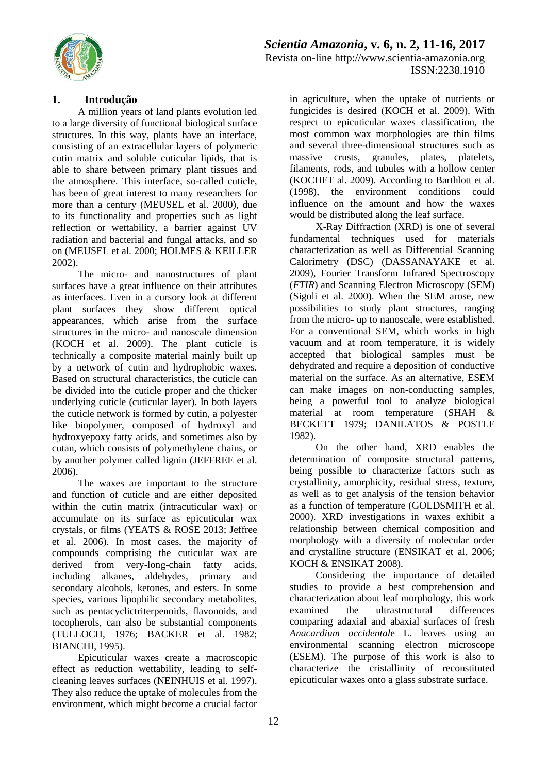

# *Scientia Amazonia***, v. 6, n. 2, 11-16, 2017** Revista on-line http://www.scientia-amazonia.org ISSN:2238.1910

## **1. Introdução**

A million years of land plants evolution led to a large diversity of functional biological surface structures. In this way, plants have an interface, consisting of an extracellular layers of polymeric cutin matrix and soluble cuticular lipids, that is able to share between primary plant tissues and the atmosphere. This interface, so-called cuticle, has been of great interest to many researchers for more than a century (MEUSEL et al. 2000), due to its functionality and properties such as light reflection or wettability, a barrier against UV radiation and bacterial and fungal attacks, and so on (MEUSEL et al. 2000; HOLMES & KEILLER 2002).

The micro- and nanostructures of plant surfaces have a great influence on their attributes as interfaces. Even in a cursory look at different plant surfaces they show different optical appearances, which arise from the surface structures in the micro- and nanoscale dimension (KOCH et al. 2009). The plant cuticle is technically a composite material mainly built up by a network of cutin and hydrophobic waxes. Based on structural characteristics, the cuticle can be divided into the cuticle proper and the thicker underlying cuticle (cuticular layer). In both layers the cuticle network is formed by cutin, a polyester like biopolymer, composed of hydroxyl and hydroxyepoxy fatty acids, and sometimes also by cutan, which consists of polymethylene chains, or by another polymer called lignin (JEFFREE et al. 2006).

The waxes are important to the structure and function of cuticle and are either deposited within the cutin matrix (intracuticular wax) or accumulate on its surface as epicuticular wax crystals, or films (YEATS & ROSE 2013; Jeffree et al. 2006). In most cases, the majority of compounds comprising the cuticular wax are derived from very-long-chain fatty acids, including alkanes, aldehydes, primary and secondary alcohols, ketones, and esters. In some species, various lipophilic secondary metabolites, such as pentacyclictriterpenoids, flavonoids, and tocopherols, can also be substantial components (TULLOCH, 1976; BACKER et al. 1982; BIANCHI, 1995).

Epicuticular waxes create a macroscopic effect as reduction wettability, leading to selfcleaning leaves surfaces (NEINHUIS et al. 1997). They also reduce the uptake of molecules from the environment, which might become a crucial factor

in agriculture, when the uptake of nutrients or fungicides is desired (KOCH et al. 2009). With respect to epicuticular waxes classification, the most common wax morphologies are thin films and several three-dimensional structures such as massive crusts, granules, plates, platelets, filaments, rods, and tubules with a hollow center (KOCHET al. 2009). According to Barthlott et al. (1998), the environment conditions could influence on the amount and how the waxes would be distributed along the leaf surface.

X-Ray Diffraction (XRD) is one of several fundamental techniques used for materials characterization as well as Differential Scanning Calorimetry (DSC) (DASSANAYAKE et al. 2009), Fourier Transform Infrared Spectroscopy (*FTIR*) and Scanning Electron Microscopy (SEM) (Sigoli et al. 2000). When the SEM arose, new possibilities to study plant structures, ranging from the micro- up to nanoscale, were established. For a conventional SEM, which works in high vacuum and at room temperature, it is widely accepted that biological samples must be dehydrated and require a deposition of conductive material on the surface. As an alternative, ESEM can make images on non-conducting samples, being a powerful tool to analyze biological material at room temperature (SHAH & BECKETT 1979; DANILATOS & POSTLE 1982).

On the other hand, XRD enables the determination of composite structural patterns, being possible to characterize factors such as crystallinity, amorphicity, residual stress, texture, as well as to get analysis of the tension behavior as a function of temperature (GOLDSMITH et al. 2000). XRD investigations in waxes exhibit a relationship between chemical composition and morphology with a diversity of molecular order and crystalline structure (ENSIKAT et al. 2006; KOCH & ENSIKAT 2008).

Considering the importance of detailed studies to provide a best comprehension and characterization about leaf morphology, this work examined the ultrastructural differences comparing adaxial and abaxial surfaces of fresh *Anacardium occidental*e L. leaves using an environmental scanning electron microscope (ESEM). The purpose of this work is also to characterize the cristallinity of reconstituted epicuticular waxes onto a glass substrate surface.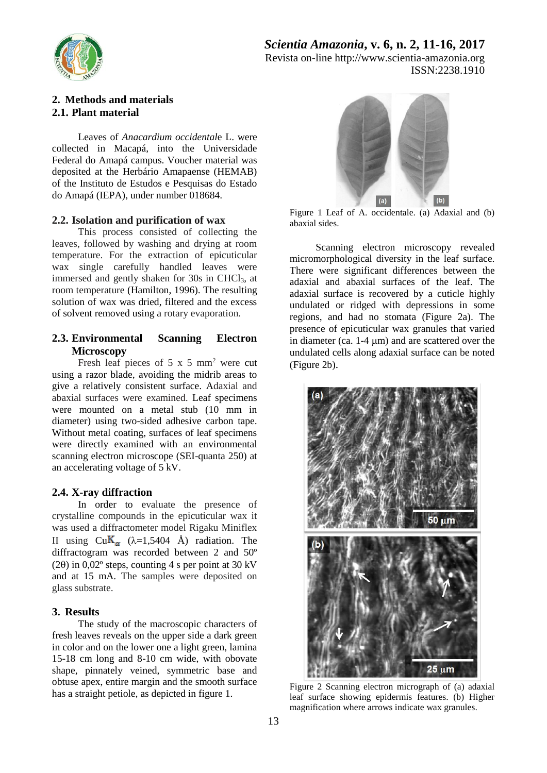

*Scientia Amazonia***, v. 6, n. 2, 11-16, 2017** Revista on-line http://www.scientia-amazonia.org ISSN:2238.1910

## **2. Methods and materials 2.1. Plant material**

Leaves of *Anacardium occidental*e L. were collected in Macapá, into the Universidade Federal do Amapá campus. Voucher material was deposited at the Herbário Amapaense (HEMAB) of the Instituto de Estudos e Pesquisas do Estado do Amapá (IEPA), under number 018684.

#### **2.2. Isolation and purification of wax**

This process consisted of collecting the leaves, followed by washing and drying at room temperature. For the extraction of epicuticular wax single carefully handled leaves were immersed and gently shaken for 30s in CHCl<sub>3</sub>, at room temperature (Hamilton, 1996). The resulting solution of wax was dried, filtered and the excess of solvent removed using a rotary evaporation.

### **2.3. Environmental Scanning Electron Microscopy**

Fresh leaf pieces of  $5 \times 5$  mm<sup>2</sup> were cut using a razor blade, avoiding the midrib areas to give a relatively consistent surface. Adaxial and abaxial surfaces were examined. Leaf specimens were mounted on a metal stub (10 mm in diameter) using two-sided adhesive carbon tape. Without metal coating, surfaces of leaf specimens were directly examined with an environmental scanning electron microscope (SEI-quanta 250) at an accelerating voltage of 5 kV.

#### **2.4. X-ray diffraction**

In order to evaluate the presence of crystalline compounds in the epicuticular wax it was used a diffractometer model Rigaku Miniflex II using  $CuK_{\alpha}$  ( $\lambda=1,5404$  Å) radiation. The diffractogram was recorded between 2 and 50º (20) in 0,02 $^{\circ}$  steps, counting 4 s per point at 30 kV and at 15 mA. The samples were deposited on glass substrate.

#### **3. Results**

The study of the macroscopic characters of fresh leaves reveals on the upper side a dark green in color and on the lower one a light green, lamina 15-18 cm long and 8-10 cm wide, with obovate shape, pinnately veined, symmetric base and obtuse apex, entire margin and the smooth surface has a straight petiole, as depicted in figure 1.



Figure 1 Leaf of A. occidentale. (a) Adaxial and (b) abaxial sides.

Scanning electron microscopy revealed micromorphological diversity in the leaf surface. There were significant differences between the adaxial and abaxial surfaces of the leaf. The adaxial surface is recovered by a cuticle highly undulated or ridged with depressions in some regions, and had no stomata (Figure 2a). The presence of epicuticular wax granules that varied in diameter (ca.  $1-4 \mu m$ ) and are scattered over the undulated cells along adaxial surface can be noted (Figure 2b).



Figure 2 Scanning electron micrograph of (a) adaxial leaf surface showing epidermis features. (b) Higher magnification where arrows indicate wax granules.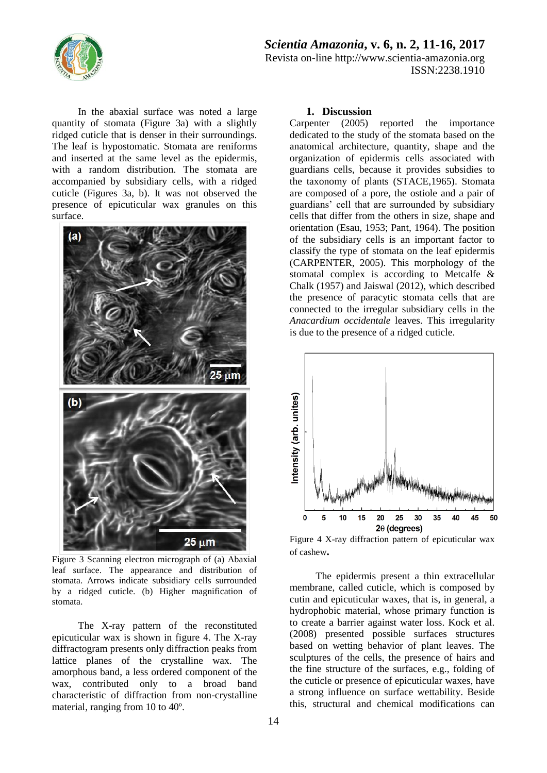

*Scientia Amazonia***, v. 6, n. 2, 11-16, 2017** Revista on-line http://www.scientia-amazonia.org ISSN:2238.1910

In the abaxial surface was noted a large quantity of stomata (Figure 3a) with a slightly ridged cuticle that is denser in their surroundings. The leaf is hypostomatic. Stomata are reniforms and inserted at the same level as the epidermis, with a random distribution. The stomata are accompanied by subsidiary cells, with a ridged cuticle (Figures 3a, b). It was not observed the presence of epicuticular wax granules on this surface.



Figure 3 Scanning electron micrograph of (a) Abaxial leaf surface. The appearance and distribution of stomata. Arrows indicate subsidiary cells surrounded by a ridged cuticle. (b) Higher magnification of stomata.

The X-ray pattern of the reconstituted epicuticular wax is shown in figure 4. The X-ray diffractogram presents only diffraction peaks from lattice planes of the crystalline wax. The amorphous band, a less ordered component of the wax, contributed only to a broad band characteristic of diffraction from non-crystalline material, ranging from 10 to 40º.

#### **1. Discussion**

Carpenter (2005) reported the importance dedicated to the study of the stomata based on the anatomical architecture, quantity, shape and the organization of epidermis cells associated with guardians cells, because it provides subsidies to the taxonomy of plants (STACE,1965). Stomata are composed of a pore, the ostiole and a pair of guardians' cell that are surrounded by subsidiary cells that differ from the others in size, shape and orientation (Esau, 1953; Pant, 1964). The position of the subsidiary cells is an important factor to classify the type of stomata on the leaf epidermis (CARPENTER, 2005). This morphology of the stomatal complex is according to Metcalfe & Chalk (1957) and Jaiswal (2012), which described the presence of paracytic stomata cells that are connected to the irregular subsidiary cells in the *Anacardium occidentale* leaves. This irregularity is due to the presence of a ridged cuticle.



Figure 4 X-ray diffraction pattern of epicuticular wax of cashew**.**

The epidermis present a thin extracellular membrane, called cuticle, which is composed by cutin and epicuticular waxes, that is, in general, a hydrophobic material, whose primary function is to create a barrier against water loss. Kock et al. (2008) presented possible surfaces structures based on wetting behavior of plant leaves. The sculptures of the cells, the presence of hairs and the fine structure of the surfaces, e.g., folding of the cuticle or presence of epicuticular waxes, have a strong influence on surface wettability. Beside this, structural and chemical modifications can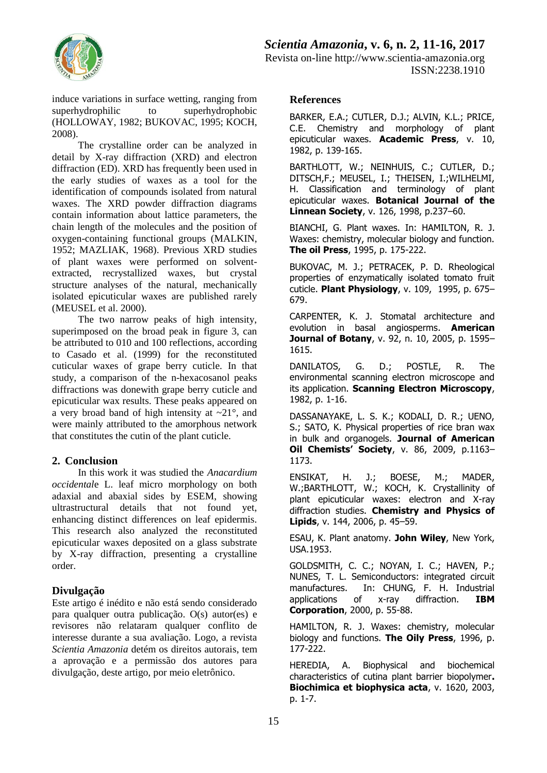

induce variations in surface wetting, ranging from superhydrophilic to superhydrophobic (HOLLOWAY, 1982; BUKOVAC, 1995; KOCH, 2008).

The crystalline order can be analyzed in detail by X-ray diffraction (XRD) and electron diffraction (ED). XRD has frequently been used in the early studies of waxes as a tool for the identification of compounds isolated from natural waxes. The XRD powder diffraction diagrams contain information about lattice parameters, the chain length of the molecules and the position of oxygen-containing functional groups (MALKIN, 1952; MAZLIAK, 1968). Previous XRD studies of plant waxes were performed on solventextracted, recrystallized waxes, but crystal structure analyses of the natural, mechanically isolated epicuticular waxes are published rarely (MEUSEL et al. 2000).

The two narrow peaks of high intensity, superimposed on the broad peak in figure 3, can be attributed to 010 and 100 reflections, according to Casado et al. (1999) for the reconstituted cuticular waxes of grape berry cuticle. In that study, a comparison of the n-hexacosanol peaks diffractions was donewith grape berry cuticle and epicuticular wax results. These peaks appeared on a very broad band of high intensity at  $\sim$ 21 $^{\circ}$ , and were mainly attributed to the amorphous network that constitutes the cutin of the plant cuticle.

#### **2. Conclusion**

In this work it was studied the *Anacardium occidental*e L. leaf micro morphology on both adaxial and abaxial sides by ESEM, showing ultrastructural details that not found yet, enhancing distinct differences on leaf epidermis. This research also analyzed the reconstituted epicuticular waxes deposited on a glass substrate by X-ray diffraction, presenting a crystalline order.

#### **Divulgação**

Este artigo é inédito e não está sendo considerado para qualquer outra publicação. O(s) autor(es) e revisores não relataram qualquer conflito de interesse durante a sua avaliação. Logo, a revista *Scientia Amazonia* detém os direitos autorais, tem a aprovação e a permissão dos autores para divulgação, deste artigo, por meio eletrônico.

#### **References**

BARKER, E.A.; CUTLER, D.J.; ALVIN, K.L.; PRICE, C.E. Chemistry and morphology of plant epicuticular waxes. **Academic Press**, v. 10, 1982, p. 139-165.

BARTHLOTT, W.; NEINHUIS, C.; CUTLER, D.; DITSCH,F.; MEUSEL, I.; THEISEN, I.;WILHELMI, H. Classification and terminology of plant epicuticular waxes. **Botanical Journal of the Linnean Society**, v. 126, 1998, p.237–60.

BIANCHI, G. Plant waxes. In: HAMILTON, R. J. Waxes: chemistry, molecular biology and function. **The oil Press**, 1995, p. 175-222.

BUKOVAC, M. J.; PETRACEK, P. D. Rheological properties of enzymatically isolated tomato fruit cuticle. **Plant Physiology**, v. 109, 1995, p. 675– 679.

CARPENTER, K. J. Stomatal architecture and evolution in basal angiosperms. **American Journal of Botany**, v. 92, n. 10, 2005, p. 1595– 1615.

DANILATOS, G. D.; POSTLE, R. The environmental scanning electron microscope and its application. **Scanning Electron Microscopy**, 1982, p. 1-16.

DASSANAYAKE, L. S. K.; KODALI, D. R.; UENO, S.; SATO, K. Physical properties of rice bran wax in bulk and organogels. **Journal of American Oil Chemists' Society**, v. 86, 2009, p.1163– 1173.

ENSIKAT, H. J.; BOESE, M.; MADER, W.;BARTHLOTT, W.; KOCH, K. Crystallinity of plant epicuticular waxes: electron and X-ray diffraction studies. **Chemistry and Physics of Lipids**, v. 144, 2006, p. 45–59.

ESAU, K. Plant anatomy. **John Wiley**, New York, USA.1953.

GOLDSMITH, C. C.; NOYAN, I. C.; HAVEN, P.; NUNES, T. L. Semiconductors: integrated circuit manufactures. In: CHUNG, F. H. Industrial applications of x-ray diffraction. **IBM Corporation**, 2000, p. 55-88.

HAMILTON, R. J. Waxes: chemistry, molecular biology and functions. **The Oily Press**, 1996, p. 177-222.

HEREDIA, A. Biophysical and biochemical characteristics of cutina plant barrier biopolymer**. Biochimica et biophysica acta**, v. 1620, 2003, p. 1-7.